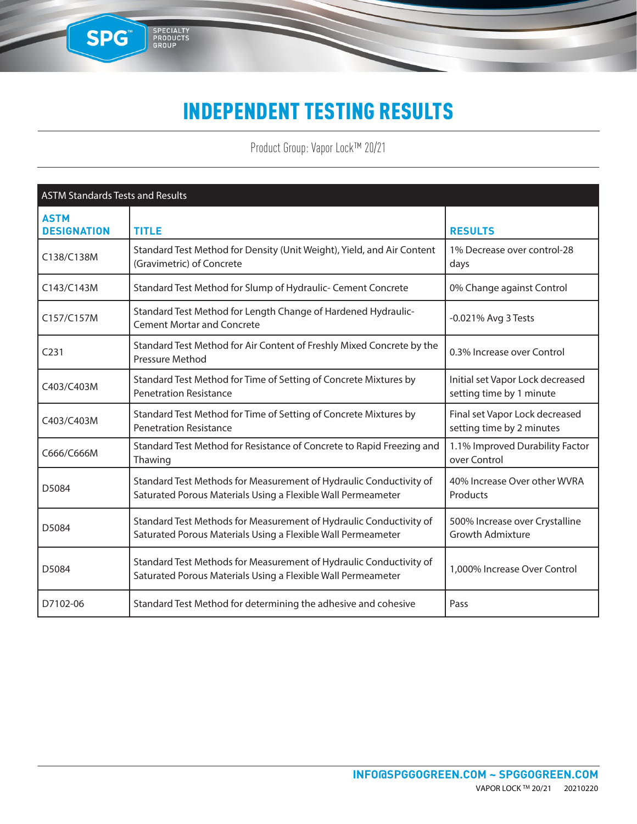### INDEPENDENT TESTING RESULTS

SPG

SPECIALTY<br>PRODUCTS<br>GROUP

Product Group: Vapor Lock™ 20/21

| <b>ASTM Standards Tests and Results</b> |                                                                                                                                    |                                                              |
|-----------------------------------------|------------------------------------------------------------------------------------------------------------------------------------|--------------------------------------------------------------|
| <b>ASTM</b><br><b>DESIGNATION</b>       | <b>TITLE</b>                                                                                                                       | <b>RESULTS</b>                                               |
| C138/C138M                              | Standard Test Method for Density (Unit Weight), Yield, and Air Content<br>(Gravimetric) of Concrete                                | 1% Decrease over control-28<br>days                          |
| C143/C143M                              | Standard Test Method for Slump of Hydraulic- Cement Concrete                                                                       | 0% Change against Control                                    |
| C157/C157M                              | Standard Test Method for Length Change of Hardened Hydraulic-<br><b>Cement Mortar and Concrete</b>                                 | -0.021% Avg 3 Tests                                          |
| C <sub>231</sub>                        | Standard Test Method for Air Content of Freshly Mixed Concrete by the<br>Pressure Method                                           | 0.3% Increase over Control                                   |
| C403/C403M                              | Standard Test Method for Time of Setting of Concrete Mixtures by<br><b>Penetration Resistance</b>                                  | Initial set Vapor Lock decreased<br>setting time by 1 minute |
| C403/C403M                              | Standard Test Method for Time of Setting of Concrete Mixtures by<br><b>Penetration Resistance</b>                                  | Final set Vapor Lock decreased<br>setting time by 2 minutes  |
| C666/C666M                              | Standard Test Method for Resistance of Concrete to Rapid Freezing and<br>Thawing                                                   | 1.1% Improved Durability Factor<br>over Control              |
| D5084                                   | Standard Test Methods for Measurement of Hydraulic Conductivity of<br>Saturated Porous Materials Using a Flexible Wall Permeameter | 40% Increase Over other WVRA<br>Products                     |
| D5084                                   | Standard Test Methods for Measurement of Hydraulic Conductivity of<br>Saturated Porous Materials Using a Flexible Wall Permeameter | 500% Increase over Crystalline<br><b>Growth Admixture</b>    |
| D5084                                   | Standard Test Methods for Measurement of Hydraulic Conductivity of<br>Saturated Porous Materials Using a Flexible Wall Permeameter | 1,000% Increase Over Control                                 |
| D7102-06                                | Standard Test Method for determining the adhesive and cohesive                                                                     | Pass                                                         |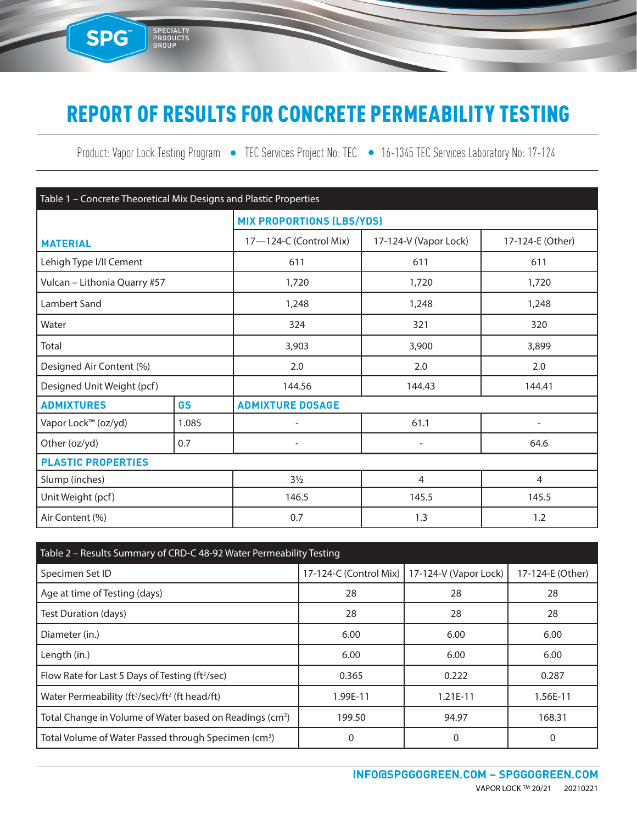# REPORT OF RESULTS FOR CONCRETE PERMEABILITY TESTING

SPG<sup>®</sup>

SPECIALTY<br>PRODUCTS<br>GROUP

Product: Vapor Lock Testing Program • TEC Services Project No: TEC • 16-1345 TEC Services Laboratory No: 17-124

| Table 1 - Concrete Theoretical Mix Designs and Plastic Properties |           |                                  |                          |                  |  |  |
|-------------------------------------------------------------------|-----------|----------------------------------|--------------------------|------------------|--|--|
|                                                                   |           | <b>MIX PROPORTIONS (LBS/YDS)</b> |                          |                  |  |  |
| <b>MATERIAL</b>                                                   |           | 17-124-C (Control Mix)           | 17-124-V (Vapor Lock)    | 17-124-E (Other) |  |  |
| Lehigh Type I/II Cement                                           |           | 611                              | 611                      | 611              |  |  |
| Vulcan - Lithonia Quarry #57                                      |           | 1,720                            | 1,720                    | 1,720            |  |  |
| Lambert Sand                                                      |           | 1,248                            | 1,248                    | 1,248            |  |  |
| Water                                                             |           | 324                              | 321                      | 320              |  |  |
| Total                                                             |           | 3,903<br>3,900                   |                          | 3,899            |  |  |
| Designed Air Content (%)                                          |           | 2.0                              | 2.0                      | 2.0              |  |  |
| Designed Unit Weight (pcf)                                        |           | 144.56<br>144.43<br>144.41       |                          |                  |  |  |
| <b>ADMIXTURES</b>                                                 | <b>GS</b> | <b>ADMIXTURE DOSAGE</b>          |                          |                  |  |  |
| Vapor Lock™ (oz/yd)                                               | 1.085     |                                  | 61.1                     |                  |  |  |
| Other (oz/yd)                                                     | 0.7       | $\overline{\phantom{a}}$         | $\overline{\phantom{a}}$ | 64.6             |  |  |
| <b>PLASTIC PROPERTIES</b>                                         |           |                                  |                          |                  |  |  |
| Slump (inches)                                                    |           | $3\frac{1}{2}$                   | $\overline{4}$           | $\overline{4}$   |  |  |
| Unit Weight (pcf)                                                 |           | 146.5<br>145.5                   |                          | 145.5            |  |  |
| Air Content (%)                                                   |           | 0.7<br>1.3<br>1.2                |                          |                  |  |  |

| Table 2 - Results Summary of CRD-C 48-92 Water Permeability Testing    |                                                |            |                  |  |  |
|------------------------------------------------------------------------|------------------------------------------------|------------|------------------|--|--|
| Specimen Set ID                                                        | 17-124-C (Control Mix)   17-124-V (Vapor Lock) |            | 17-124-E (Other) |  |  |
| Age at time of Testing (days)                                          | 28                                             | 28         | 28               |  |  |
| Test Duration (days)                                                   | 28                                             | 28         | 28               |  |  |
| Diameter (in.)                                                         | 6.00                                           | 6.00       | 6.00             |  |  |
| Length (in.)                                                           | 6.00                                           | 6.00       | 6.00             |  |  |
| Flow Rate for Last 5 Days of Testing (ft <sup>3</sup> /sec)            | 0.365                                          | 0.222      | 0.287            |  |  |
| Water Permeability (ft <sup>3</sup> /sec)/ft <sup>2</sup> (ft head/ft) | 1.99E-11                                       | $1.21E-11$ | 1.56E-11         |  |  |
| Total Change in Volume of Water based on Readings (cm <sup>3</sup> )   | 199.50                                         | 94.97      | 168.31           |  |  |
| Total Volume of Water Passed through Specimen (cm <sup>3</sup> )       |                                                | 0          | 0                |  |  |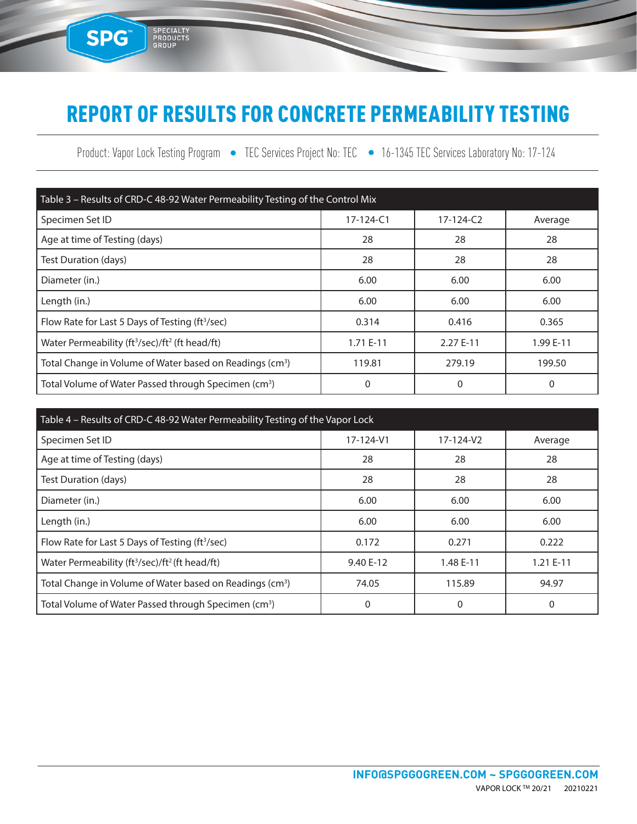### REPORT OF RESULTS FOR CONCRETE PERMEABILITY TESTING

SPG<sup>®</sup>

SPECIALTY<br>PRODUCTS<br>GROUP

Product: Vapor Lock Testing Program • TEC Services Project No: TEC • 16-1345 TEC Services Laboratory No: 17-124

| Table 3 - Results of CRD-C 48-92 Water Permeability Testing of the Control Mix |                 |                 |           |  |  |
|--------------------------------------------------------------------------------|-----------------|-----------------|-----------|--|--|
| Specimen Set ID                                                                | $17 - 124 - C1$ | $17 - 124 - C2$ | Average   |  |  |
| Age at time of Testing (days)                                                  | 28              | 28              | 28        |  |  |
| Test Duration (days)                                                           | 28              | 28              | 28        |  |  |
| Diameter (in.)                                                                 | 6.00            | 6.00            | 6.00      |  |  |
| Length (in.)                                                                   | 6.00            | 6.00            | 6.00      |  |  |
| Flow Rate for Last 5 Days of Testing (ft <sup>3</sup> /sec)                    | 0.314           | 0.416           | 0.365     |  |  |
| Water Permeability (ft <sup>3</sup> /sec)/ft <sup>2</sup> (ft head/ft)         | 1.71 E-11       | 2.27 E-11       | 1.99 E-11 |  |  |
| Total Change in Volume of Water based on Readings (cm <sup>3</sup> )           | 119.81          | 279.19          | 199.50    |  |  |
| Total Volume of Water Passed through Specimen (cm <sup>3</sup> )               | 0               | 0               | 0         |  |  |

| Table 4 – Results of CRD-C 48-92 Water Permeability Testing of the Vapor Lock |           |           |            |  |  |  |
|-------------------------------------------------------------------------------|-----------|-----------|------------|--|--|--|
| Specimen Set ID                                                               | 17-124-V1 | 17-124-V2 | Average    |  |  |  |
| Age at time of Testing (days)                                                 | 28        | 28        | 28         |  |  |  |
| Test Duration (days)                                                          | 28        | 28        | 28         |  |  |  |
| Diameter (in.)                                                                | 6.00      | 6.00      | 6.00       |  |  |  |
| Length (in.)                                                                  | 6.00      | 6.00      | 6.00       |  |  |  |
| Flow Rate for Last 5 Days of Testing (ft <sup>3</sup> /sec)                   | 0.172     | 0.271     | 0.222      |  |  |  |
| Water Permeability (ft <sup>3</sup> /sec)/ft <sup>2</sup> (ft head/ft)        | 9.40 E-12 | 1.48 E-11 | $1.21E-11$ |  |  |  |
| Total Change in Volume of Water based on Readings (cm <sup>3</sup> )          | 74.05     | 115.89    | 94.97      |  |  |  |
| Total Volume of Water Passed through Specimen (cm <sup>3</sup> )              | 0         | 0         | 0          |  |  |  |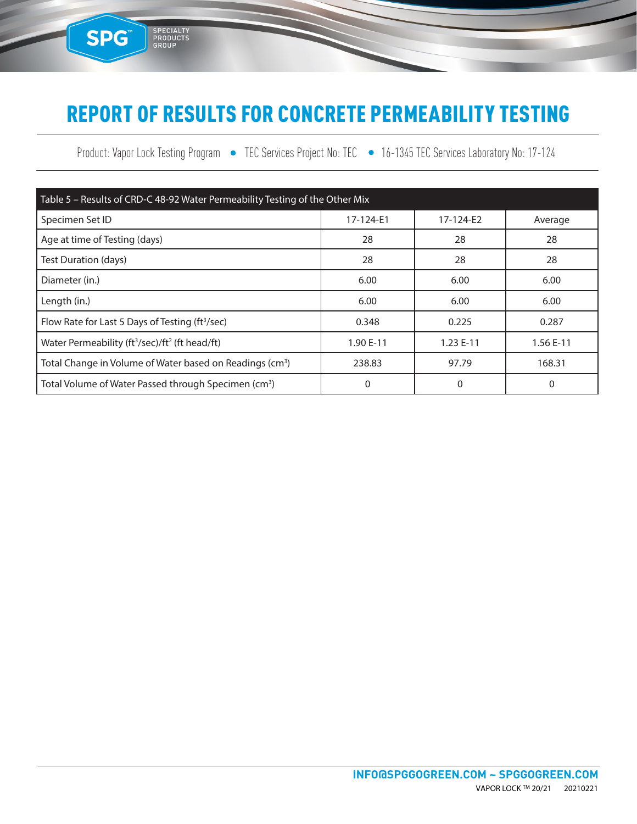# REPORT OF RESULTS FOR CONCRETE PERMEABILITY TESTING

SPG<sup>®</sup>

SPECIALTY<br>PRODUCTS<br>GROUP

Product: Vapor Lock Testing Program • TEC Services Project No: TEC • 16-1345 TEC Services Laboratory No: 17-124

| Table 5 - Results of CRD-C 48-92 Water Permeability Testing of the Other Mix |           |           |           |  |  |
|------------------------------------------------------------------------------|-----------|-----------|-----------|--|--|
| Specimen Set ID                                                              | 17-124-E1 | 17-124-E2 | Average   |  |  |
| Age at time of Testing (days)                                                | 28        | 28        | 28        |  |  |
| Test Duration (days)                                                         | 28        | 28        | 28        |  |  |
| Diameter (in.)                                                               | 6.00      | 6.00      | 6.00      |  |  |
| Length (in.)                                                                 | 6.00      | 6.00      | 6.00      |  |  |
| Flow Rate for Last 5 Days of Testing (ft <sup>3</sup> /sec)                  | 0.348     | 0.225     | 0.287     |  |  |
| Water Permeability (ft <sup>3</sup> /sec)/ft <sup>2</sup> (ft head/ft)       | 1.90 E-11 | 1.23 E-11 | 1.56 E-11 |  |  |
| Total Change in Volume of Water based on Readings (cm <sup>3</sup> )         | 238.83    | 97.79     | 168.31    |  |  |
| Total Volume of Water Passed through Specimen (cm <sup>3</sup> )             | 0         | 0         | 0         |  |  |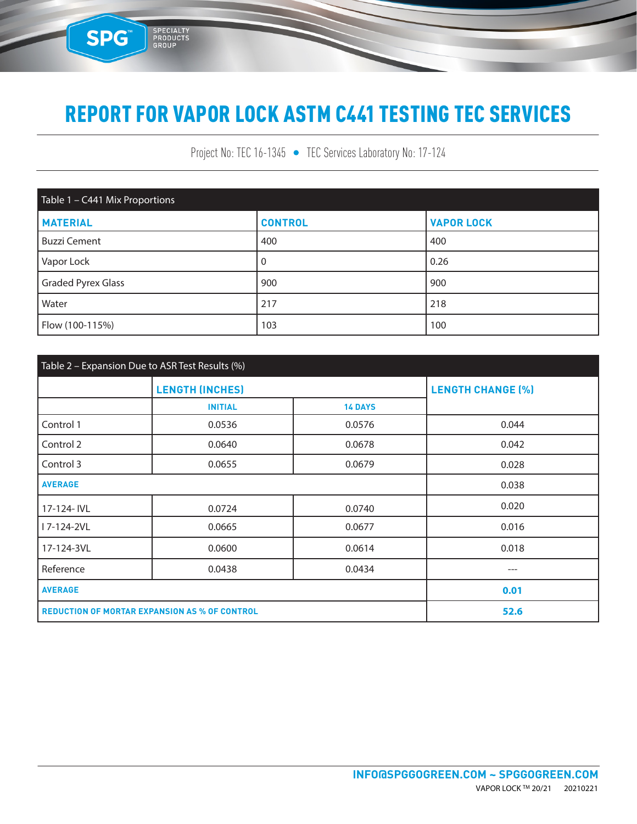SPG

SPECIALTY<br>PRODUCTS<br>GROUP

Project No: TEC 16-1345 • TEC Services Laboratory No: 17-124

| Table 1 - C441 Mix Proportions |                |                   |  |  |  |
|--------------------------------|----------------|-------------------|--|--|--|
| <b>MATERIAL</b>                | <b>CONTROL</b> | <b>VAPOR LOCK</b> |  |  |  |
| <b>Buzzi Cement</b>            | 400            | 400               |  |  |  |
| Vapor Lock                     | 0              | 0.26              |  |  |  |
| <b>Graded Pyrex Glass</b>      | 900            | 900               |  |  |  |
| Water                          | 217            | 218               |  |  |  |
| Flow (100-115%)                | 103            | 100               |  |  |  |

| Table 2 - Expansion Due to ASR Test Results (%)      |                        |                          |       |  |  |
|------------------------------------------------------|------------------------|--------------------------|-------|--|--|
|                                                      | <b>LENGTH (INCHES)</b> | <b>LENGTH CHANGE (%)</b> |       |  |  |
|                                                      | <b>INITIAL</b>         | <b>14 DAYS</b>           |       |  |  |
| Control 1                                            | 0.0536                 | 0.0576                   | 0.044 |  |  |
| Control 2                                            | 0.0640                 | 0.0678                   | 0.042 |  |  |
| Control 3                                            | 0.0655                 | 0.0679                   | 0.028 |  |  |
| <b>AVERAGE</b>                                       |                        | 0.038                    |       |  |  |
| 17-124- IVL                                          | 0.0724                 | 0.0740                   | 0.020 |  |  |
| I 7-124-2VL                                          | 0.0665                 | 0.0677                   | 0.016 |  |  |
| 17-124-3VL                                           | 0.0600                 | 0.0614                   | 0.018 |  |  |
| Reference                                            | 0.0438                 | 0.0434                   | $---$ |  |  |
| <b>AVERAGE</b>                                       |                        |                          | 0.01  |  |  |
| <b>REDUCTION OF MORTAR EXPANSION AS % OF CONTROL</b> |                        |                          | 52.6  |  |  |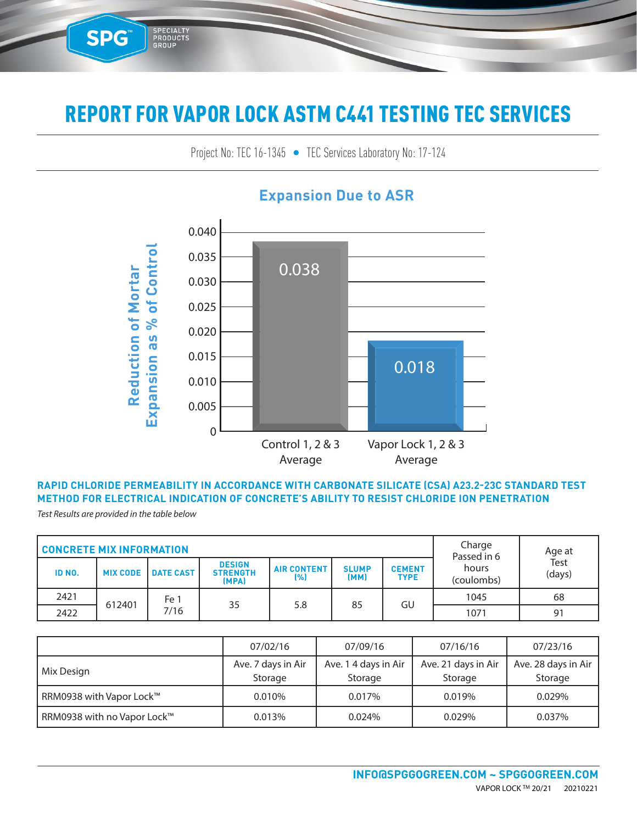Project No: TEC 16-1345 • TEC Services Laboratory No: 17-124 TEC SENICES LADORATORY NO: 17-124



### **Expansion Due to ASR**

#### **RAPID CHLORIDE PERMEABILITY IN ACCORDANCE WITH CARBONATE SILICATE (CSA) A23.2-23C STANDARD TEST METHOD FOR ELECTRICAL INDICATION OF CONCRETE'S ABILITY TO RESIST CHLORIDE ION PENETRATION**

*Test Results are provided in the table below*

SPG™

3E-09

5E-09

SPECIALTY<br>PRODUCTS<br>GROUP

6E-09

| <b>CONCRETE MIX INFORMATION</b> |                 |                  |                                           |                           | Charge<br>Passed in 6 | Age at                       |                     |                |    |
|---------------------------------|-----------------|------------------|-------------------------------------------|---------------------------|-----------------------|------------------------------|---------------------|----------------|----|
| ID NO.                          | <b>MIX CODE</b> | <b>DATE CAST</b> | <b>DESIGN</b><br><b>STRENGTH</b><br>(MPA) | <b>AIR CONTENT</b><br>[%] | <b>SLUMP</b><br>(MM)  | <b>CEMENT</b><br><b>TYPE</b> | hours<br>(coulombs) | Test<br>(days) |    |
| 2421                            |                 | Fe 1             |                                           |                           |                       |                              | 1045                | 68             |    |
| 2422                            | 612401<br>7/16  | 35               | 5.8                                       |                           |                       | GU<br>85                     |                     | 1071           | 91 |

|                             | 07/02/16                      | 07/09/16                        | 07/16/16                       | 07/23/16                       |
|-----------------------------|-------------------------------|---------------------------------|--------------------------------|--------------------------------|
| Mix Design                  | Ave. 7 days in Air<br>Storage | Ave. 1 4 days in Air<br>Storage | Ave. 21 days in Air<br>Storage | Ave. 28 days in Air<br>Storage |
| RRM0938 with Vapor Lock™    | 0.010%                        | 0.017%                          | 0.019%                         | 0.029%                         |
| RRM0938 with no Vapor Lock™ | 0.013%                        | 0.024%                          | 0.029%                         | 0.037%                         |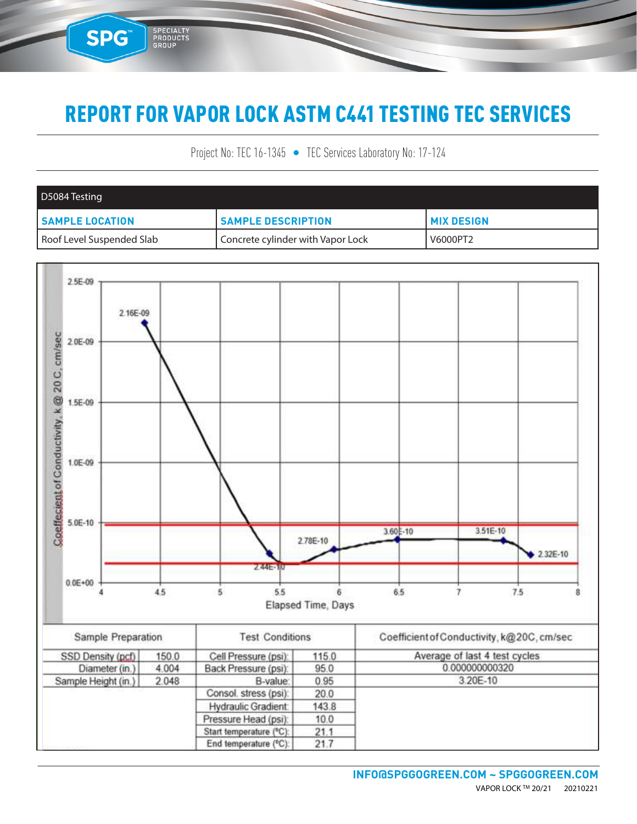SPG™

SPECIALTY<br>PRODUCTS<br>GROUP

Project No: TEC 16-1345 • TEC Services Laboratory No: 17-124

| D5084 Testing             |                                   |                     |
|---------------------------|-----------------------------------|---------------------|
| <b>SAMPLE LOCATION</b>    | <b>SAMPLE DESCRIPTION</b>         | <b>I MIX DESIGN</b> |
| Roof Level Suspended Slab | Concrete cylinder with Vapor Lock | V6000PT2            |

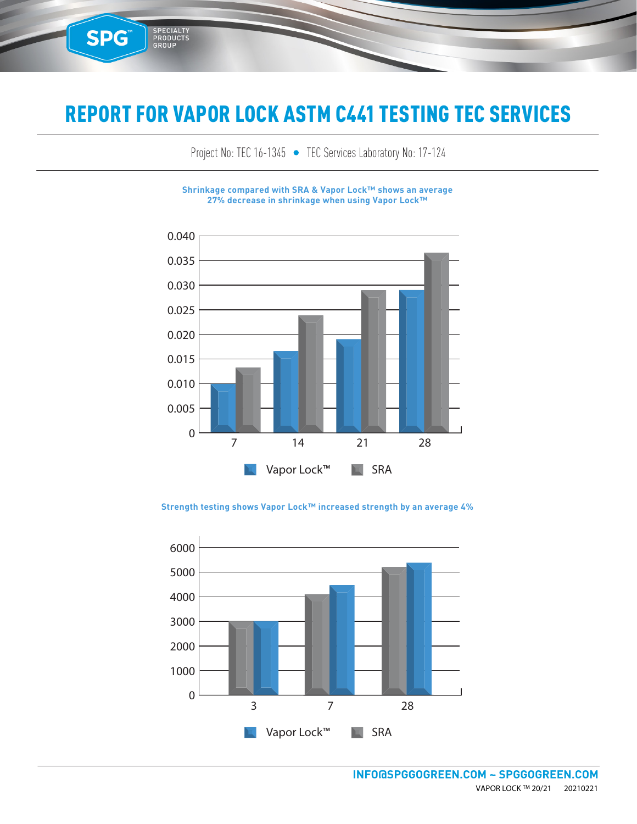**SPG™** 

SPECIALTY<br>PRODUCTS<br>GROUP

Project No: TEC 16-1345 • TEC Services Laboratory No: 17-124

**Shrinkage compared with SRA & Vapor Lock™ shows an average 27% decrease in shrinkage when using Vapor Lock™**



0.040 **Strength testing shows Vapor Lock™ increased strength by an average 4%**